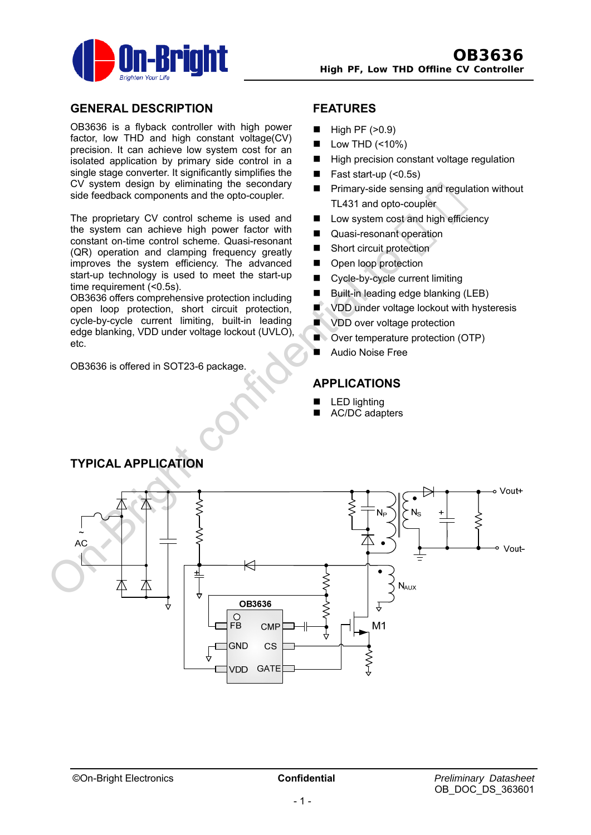

## **GENERAL DESCRIPTION**

OB3636 is a flyback controller with high power factor, low THD and high constant voltage(CV) precision. It can achieve low system cost for an isolated application by primary side control in a single stage converter. It significantly simplifies the CV system design by eliminating the secondary side feedback components and the opto-coupler.

The proprietary CV control scheme is used and the system can achieve high power factor with constant on-time control scheme. Quasi-resonant (QR) operation and clamping frequency greatly improves the system efficiency. The advanced start-up technology is used to meet the start-up time requirement (<0.5s).

OB3636 offers comprehensive protection including open loop protection, short circuit protection, cycle-by-cycle current limiting, built-in leading edge blanking, VDD under voltage lockout (UVLO), etc.

OB3636 is offered in SOT23-6 package.

## **FEATURES**

- $\blacksquare$  High PF ( $>0.9$ )
- Low THD (<10%)
- High precision constant voltage regulation
- $\blacksquare$  Fast start-up  $($  < 0.5s)
- Primary-side sensing and regulation without TL431 and opto-coupler
- Low system cost and high efficiency
- Quasi-resonant operation
- Short circuit protection
- **Den loop protection**
- Cycle-by-cycle current limiting
- Built-in leading edge blanking (LEB)
- $\blacksquare$  VDD under voltage lockout with hysteresis
- **Now VDD** over voltage protection
- Over temperature protection (OTP)
- Audio Noise Free

### **APPLICATIONS**

- LED lighting
- AC/DC adapters



# **TYPICAL APPLICATION**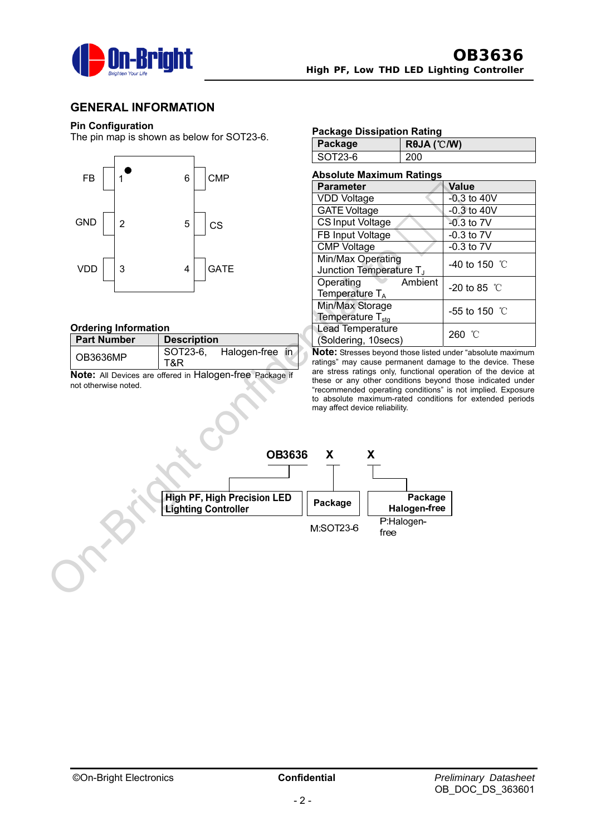

### **GENERAL INFORMATION**

### **Pin Configuration**

The pin map is shown as below for SOT23-6.



### **Ordering Information**

| <b>Part Number</b> | <b>Description</b> |                 |  |  |
|--------------------|--------------------|-----------------|--|--|
| OB3636MP           | SOT23-6.           | Halogen-free in |  |  |
|                    | T&R.               |                 |  |  |

**Note:** All Devices are offered in Halogen-free Package if not otherwise noted.

#### **Package Dissipation Rating**

| Package | $R\theta$ JA (°C/W) |
|---------|---------------------|
| SOT23-6 | 200                 |

#### **Absolute Maximum Ratings Parameter** Value VDD Voltage  $\vert$  -0.3 to 40V GATE Voltage | -0.3 to 40V CS Input Voltage | -0.3 to 7V FB Input Voltage | -0.3 to 7V CMP Voltage -0.3 to 7V Min/Max Operating Junction Temperature TJ -40 to 150 ℃ Operating Ambient Temperature  $T$ -20 to 85 ℃ Min/Max Storage Temperature T<sub>stg</sub> -55 to 150 ℃ Lead Temperature (Soldering, 10secs) 260 ℃

**Note:** Stresses beyond those listed under "absolute maximum ratings" may cause permanent damage to the device. These are stress ratings only, functional operation of the device at these or any other conditions beyond those indicated under "recommended operating conditions" is not implied. Exposure to absolute maximum-rated conditions for extended periods may affect device reliability.

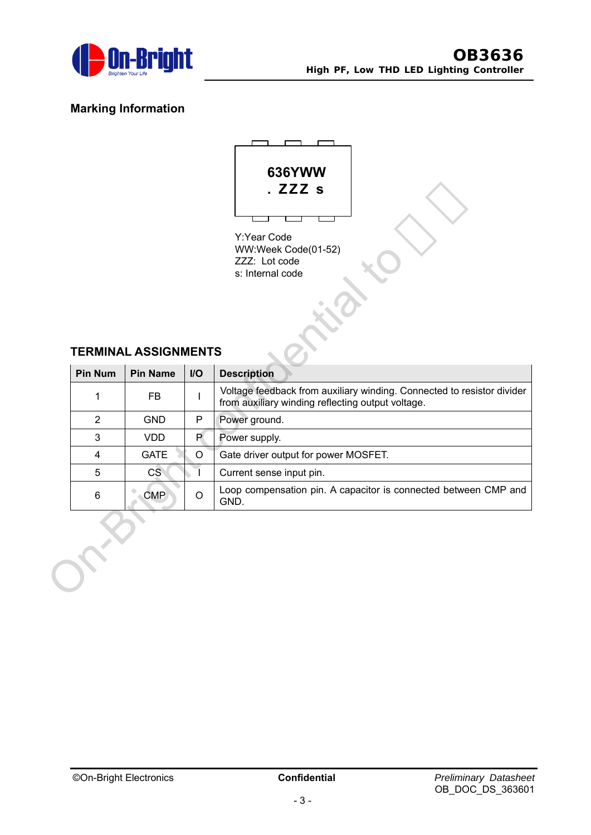

## **Marking Information**



Y:Year Code WW:Week Code(01-52) ZZZ: Lot code s: Internal code

## **TERMINAL ASSIGNMENTS**

| WW:Week Code(01-52)<br>ZZZ: Lot code<br>s: Internal code<br><b>TERMINAL ASSIGNMENTS</b> |                 |      |                                                                                                                             |  |  |  |  |  |
|-----------------------------------------------------------------------------------------|-----------------|------|-----------------------------------------------------------------------------------------------------------------------------|--|--|--|--|--|
| <b>Pin Num</b>                                                                          | <b>Pin Name</b> | $II$ | <b>Description</b>                                                                                                          |  |  |  |  |  |
| 1                                                                                       | <b>FB</b>       |      | Voltage feedback from auxiliary winding. Connected to resistor divider<br>from auxiliary winding reflecting output voltage. |  |  |  |  |  |
| $\overline{2}$                                                                          | <b>GND</b>      | P    | Power ground.                                                                                                               |  |  |  |  |  |
| 3                                                                                       | <b>VDD</b>      | P.   | Power supply.                                                                                                               |  |  |  |  |  |
| 4                                                                                       | <b>GATE</b>     | O    | Gate driver output for power MOSFET.                                                                                        |  |  |  |  |  |
| 5                                                                                       | CS              |      | Current sense input pin.                                                                                                    |  |  |  |  |  |
| 6                                                                                       | <b>CMP</b>      | O    | Loop compensation pin. A capacitor is connected between CMP and<br>GND.                                                     |  |  |  |  |  |
|                                                                                         |                 |      |                                                                                                                             |  |  |  |  |  |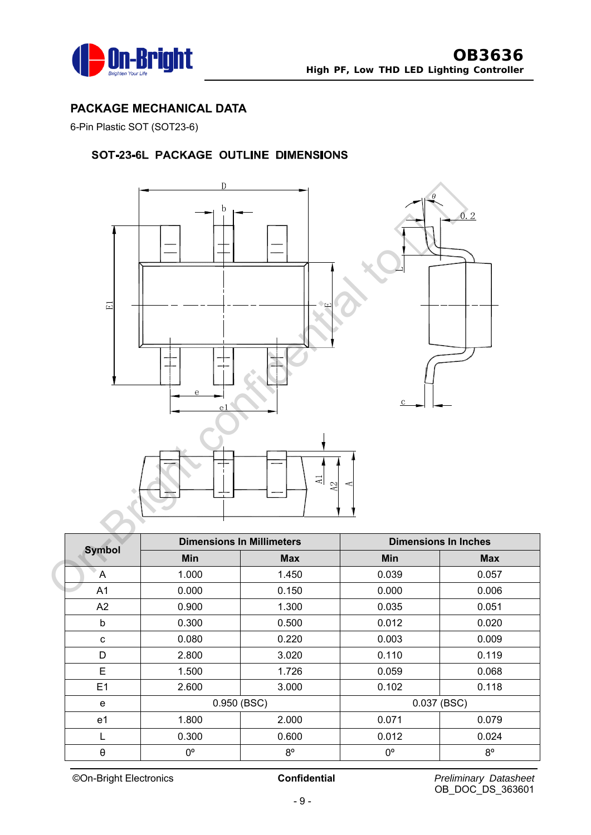

## **PACKAGE MECHANICAL DATA**

6-Pin Plastic SOT (SOT23-6)

## SOT-23-6L PACKAGE OUTLINE DIMENSIONS



| <b>Symbol</b>  | <b>Dimensions In Millimeters</b> |             | <b>Dimensions In Inches</b> |             |
|----------------|----------------------------------|-------------|-----------------------------|-------------|
|                | Min                              | <b>Max</b>  | <b>Min</b>                  | <b>Max</b>  |
| A              | 1.000                            | 1.450       | 0.039                       | 0.057       |
| A <sub>1</sub> | 0.000                            | 0.150       | 0.000                       | 0.006       |
| A2             | 0.900                            | 1.300       | 0.035                       | 0.051       |
| b              | 0.300                            | 0.500       | 0.012                       | 0.020       |
| C              | 0.080                            | 0.220       | 0.003                       | 0.009       |
| D              | 2.800                            | 3.020       | 0.110                       | 0.119       |
| E              | 1.500                            | 1.726       | 0.059                       | 0.068       |
| E1             | 2.600                            | 3.000       | 0.102                       | 0.118       |
| e              | 0.950 (BSC)                      |             | 0.037 (BSC)                 |             |
| e1             | 1.800                            | 2.000       | 0.071                       | 0.079       |
| L              | 0.300                            | 0.600       | 0.012                       | 0.024       |
| θ              | 0°                               | $8^{\circ}$ | $0^{\circ}$                 | $8^{\circ}$ |

©On-Bright Electronics **Confidential** *Preliminary Datasheet*